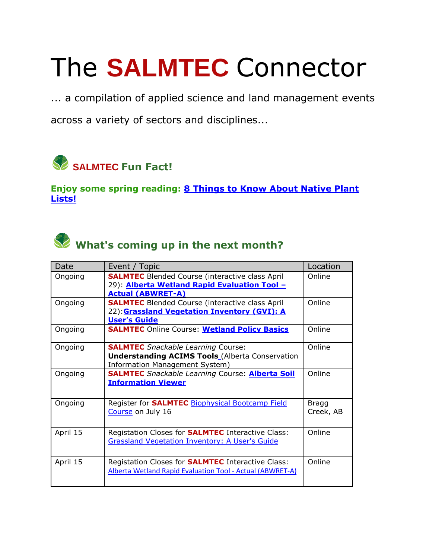## The **SALMTEC** Connector

... a compilation of applied science and land management events

across a variety of sectors and disciplines...



**Enjoy some spring reading: [8 Things to Know About Native Plant](https://salmtec.com/blog)  [Lists!](https://salmtec.com/blog)**



## What's coming up in the next month?

| Date     | Event / Topic                                                                                                                             | Location           |
|----------|-------------------------------------------------------------------------------------------------------------------------------------------|--------------------|
| Ongoing  | <b>SALMTEC</b> Blended Course (interactive class April<br>29): <b>Alberta Wetland Rapid Evaluation Tool -</b><br><b>Actual (ABWRET-A)</b> | Online             |
| Ongoing  | <b>SALMTEC</b> Blended Course (interactive class April<br>22): Grassland Vegetation Inventory (GVI): A<br><b>User's Guide</b>             | Online             |
| Ongoing  | <b>SALMTEC Online Course: Wetland Policy Basics</b>                                                                                       | Online             |
| Ongoing  | <b>SALMTEC</b> Snackable Learning Course:<br><b>Understanding ACIMS Tools</b> (Alberta Conservation<br>Information Management System)     | Online             |
| Ongoing  | <b>SALMTEC</b> Snackable Learning Course: <b>Alberta Soil</b><br><b>Information Viewer</b>                                                | Online             |
| Ongoing  | Register for <b>SALMTEC</b> Biophysical Bootcamp Field<br>Course on July 16                                                               | Bragg<br>Creek, AB |
| April 15 | Registation Closes for <b>SALMTEC</b> Interactive Class:<br><b>Grassland Vegetation Inventory: A User's Guide</b>                         | Online             |
| April 15 | Registation Closes for <b>SALMTEC</b> Interactive Class:<br>Alberta Wetland Rapid Evaluation Tool - Actual (ABWRET-A)                     | Online             |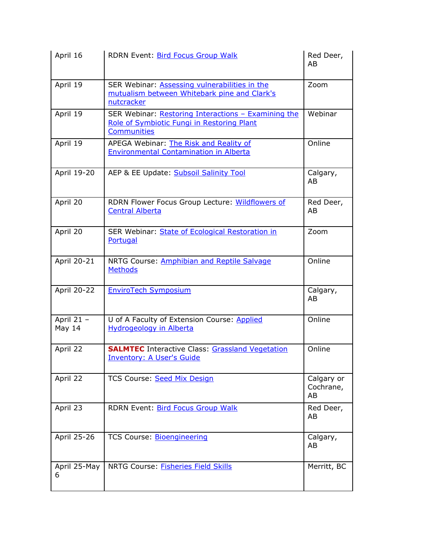| April 16             | RDRN Event: Bird Focus Group Walk                                                                                       | Red Deer,<br>AB               |
|----------------------|-------------------------------------------------------------------------------------------------------------------------|-------------------------------|
| April 19             | SER Webinar: Assessing vulnerabilities in the<br>mutualism between Whitebark pine and Clark's<br>nutcracker             | Zoom                          |
| April 19             | SER Webinar: Restoring Interactions - Examining the<br>Role of Symbiotic Fungi in Restoring Plant<br><b>Communities</b> | Webinar                       |
| April 19             | APEGA Webinar: The Risk and Reality of<br><b>Environmental Contamination in Alberta</b>                                 | Online                        |
| April 19-20          | AEP & EE Update: Subsoil Salinity Tool                                                                                  | Calgary,<br>AB                |
| April 20             | RDRN Flower Focus Group Lecture: Wildflowers of<br><b>Central Alberta</b>                                               | Red Deer,<br>AB               |
| April 20             | SER Webinar: State of Ecological Restoration in<br>Portugal                                                             | Zoom                          |
| April 20-21          | NRTG Course: Amphibian and Reptile Salvage<br><b>Methods</b>                                                            | Online                        |
| April 20-22          | <b>EnviroTech Symposium</b>                                                                                             | Calgary,<br>AB                |
| April 21 -<br>May 14 | U of A Faculty of Extension Course: Applied<br><b>Hydrogeology in Alberta</b>                                           | Online                        |
| April 22             | <b>SALMTEC</b> Interactive Class: <b>Grassland Vegetation</b><br><b>Inventory: A User's Guide</b>                       | Online                        |
| April 22             | TCS Course: Seed Mix Design                                                                                             | Calgary or<br>Cochrane,<br>AB |
| April 23             | RDRN Event: Bird Focus Group Walk                                                                                       | Red Deer,<br>AB               |
| April 25-26          | TCS Course: Bioengineering                                                                                              | Calgary,<br>AB                |
| April 25-May<br>6    | NRTG Course: <b>Fisheries Field Skills</b>                                                                              | Merritt, BC                   |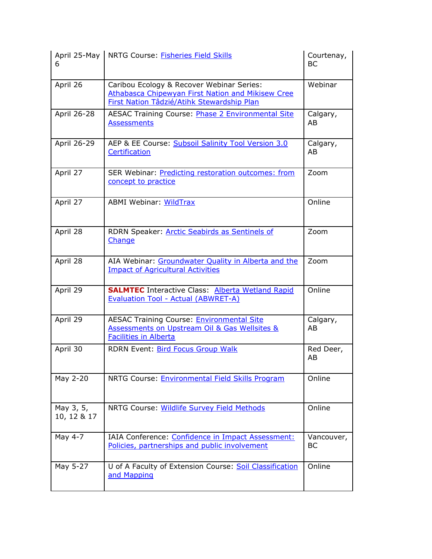| 6                        | April 25-May   NRTG Course: <b>Fisheries Field Skills</b>                                                                                           | Courtenay,<br>BC |
|--------------------------|-----------------------------------------------------------------------------------------------------------------------------------------------------|------------------|
| April 26                 | Caribou Ecology & Recover Webinar Series:<br><b>Athabasca Chipewyan First Nation and Mikisew Cree</b><br>First Nation Tâdzié/Atihk Stewardship Plan | Webinar          |
| April 26-28              | <b>AESAC Training Course: Phase 2 Environmental Site</b><br><b>Assessments</b>                                                                      | Calgary,<br>AB   |
| April 26-29              | AEP & EE Course: Subsoil Salinity Tool Version 3.0<br>Certification                                                                                 | Calgary,<br>AB   |
| April 27                 | SER Webinar: Predicting restoration outcomes: from<br>concept to practice                                                                           | Zoom             |
| April 27                 | <b>ABMI Webinar: WildTrax</b>                                                                                                                       | Online           |
| April 28                 | RDRN Speaker: <b>Arctic Seabirds as Sentinels of</b><br>Change                                                                                      | Zoom             |
| April 28                 | AIA Webinar: Groundwater Quality in Alberta and the<br><b>Impact of Agricultural Activities</b>                                                     | Zoom             |
| April 29                 | <b>SALMTEC</b> Interactive Class: Alberta Wetland Rapid<br><b>Evaluation Tool - Actual (ABWRET-A)</b>                                               | Online           |
| April 29                 | <b>AESAC Training Course: Environmental Site</b><br>Assessments on Upstream Oil & Gas Wellsites &<br><b>Facilities in Alberta</b>                   | Calgary,<br>AB   |
| April 30                 | <b>RDRN Event: Bird Focus Group Walk</b>                                                                                                            | Red Deer,<br>AB  |
| May 2-20                 | NRTG Course: Environmental Field Skills Program                                                                                                     | Online           |
| May 3, 5,<br>10, 12 & 17 | NRTG Course: Wildlife Survey Field Methods                                                                                                          | Online           |
| May 4-7                  | IAIA Conference: Confidence in Impact Assessment:<br>Policies, partnerships and public involvement                                                  | Vancouver,<br>BС |
| May 5-27                 | U of A Faculty of Extension Course: Soil Classification<br>and Mapping                                                                              | Online           |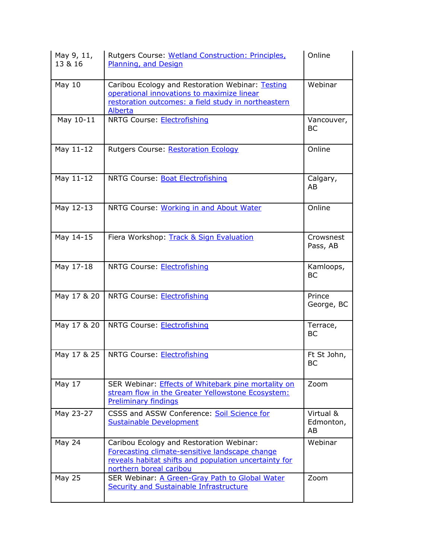| May 9, 11,<br>13 & 16 | Rutgers Course: Wetland Construction: Principles,<br>Planning, and Design                                                                                                      | Online                       |
|-----------------------|--------------------------------------------------------------------------------------------------------------------------------------------------------------------------------|------------------------------|
| May 10                | Caribou Ecology and Restoration Webinar: Testing<br>operational innovations to maximize linear<br>restoration outcomes: a field study in northeastern<br>Alberta               | Webinar                      |
| May 10-11             | NRTG Course: Electrofishing                                                                                                                                                    | Vancouver,<br>BC             |
| May 11-12             | Rutgers Course: Restoration Ecology                                                                                                                                            | Online                       |
| May 11-12             | NRTG Course: Boat Electrofishing                                                                                                                                               | Calgary,<br>AB               |
| May 12-13             | NRTG Course: Working in and About Water                                                                                                                                        | Online                       |
| May 14-15             | Fiera Workshop: Track & Sign Evaluation                                                                                                                                        | Crowsnest<br>Pass, AB        |
| May 17-18             | NRTG Course: Electrofishing                                                                                                                                                    | Kamloops,<br><b>BC</b>       |
| May 17 & 20           | NRTG Course: Electrofishing                                                                                                                                                    | Prince<br>George, BC         |
| May 17 & 20           | NRTG Course: Electrofishing                                                                                                                                                    | Terrace,<br><b>BC</b>        |
| May 17 & 25           | NRTG Course: Electrofishing                                                                                                                                                    | Ft St John,<br>BC            |
| May 17                | SER Webinar: <b>Effects of Whitebark pine mortality on</b><br>stream flow in the Greater Yellowstone Ecosystem:<br><b>Preliminary findings</b>                                 | Zoom                         |
| May 23-27             | CSSS and ASSW Conference: Soil Science for<br><b>Sustainable Development</b>                                                                                                   | Virtual &<br>Edmonton,<br>AB |
| <b>May 24</b>         | Caribou Ecology and Restoration Webinar:<br>Forecasting climate-sensitive landscape change<br>reveals habitat shifts and population uncertainty for<br>northern boreal caribou | Webinar                      |
| May 25                | SER Webinar: A Green-Gray Path to Global Water<br><b>Security and Sustainable Infrastructure</b>                                                                               | Zoom                         |